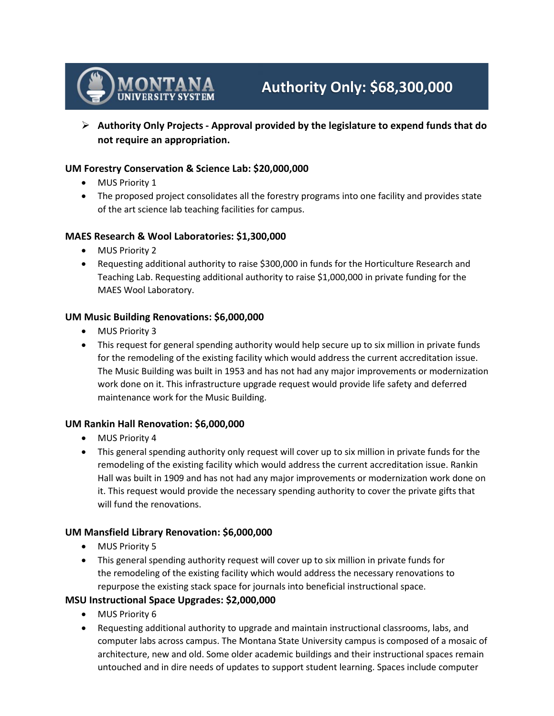

# **Authority Only: \$68,300,000**

 **Authority Only Projects - Approval provided by the legislature to expend funds that do not require an appropriation.**

## **UM Forestry Conservation & Science Lab: \$20,000,000**

- MUS Priority 1
- The proposed project consolidates all the forestry programs into one facility and provides state of the art science lab teaching facilities for campus.

## **MAES Research & Wool Laboratories: \$1,300,000**

- MUS Priority 2
- Requesting additional authority to raise \$300,000 in funds for the Horticulture Research and Teaching Lab. Requesting additional authority to raise \$1,000,000 in private funding for the MAES Wool Laboratory.

## **UM Music Building Renovations: \$6,000,000**

- MUS Priority 3
- This request for general spending authority would help secure up to six million in private funds for the remodeling of the existing facility which would address the current accreditation issue. The Music Building was built in 1953 and has not had any major improvements or modernization work done on it. This infrastructure upgrade request would provide life safety and deferred maintenance work for the Music Building.

## **UM Rankin Hall Renovation: \$6,000,000**

- MUS Priority 4
- This general spending authority only request will cover up to six million in private funds for the remodeling of the existing facility which would address the current accreditation issue. Rankin Hall was built in 1909 and has not had any major improvements or modernization work done on it. This request would provide the necessary spending authority to cover the private gifts that will fund the renovations.

## **UM Mansfield Library Renovation: \$6,000,000**

- MUS Priority 5
- This general spending authority request will cover up to six million in private funds for the remodeling of the existing facility which would address the necessary renovations to repurpose the existing stack space for journals into beneficial instructional space.

## **MSU Instructional Space Upgrades: \$2,000,000**

- MUS Priority 6
- Requesting additional authority to upgrade and maintain instructional classrooms, labs, and computer labs across campus. The Montana State University campus is composed of a mosaic of architecture, new and old. Some older academic buildings and their instructional spaces remain untouched and in dire needs of updates to support student learning. Spaces include computer